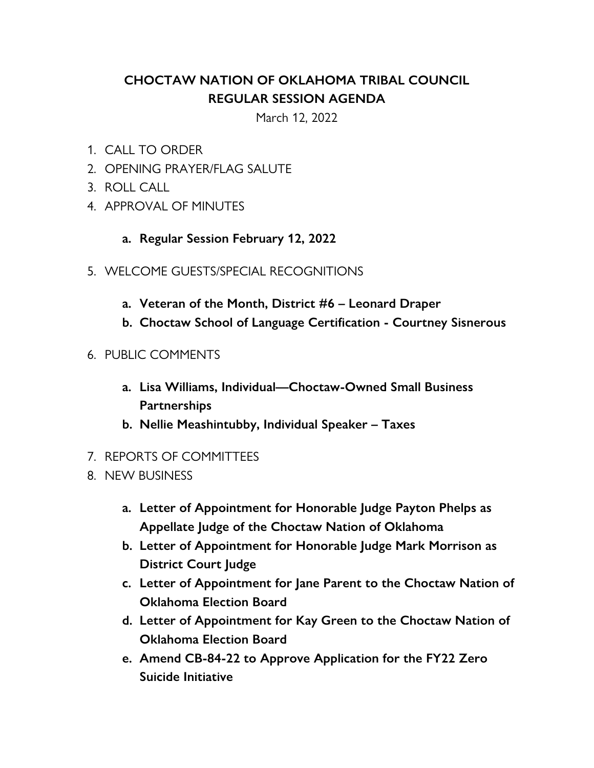## **CHOCTAW NATION OF OKLAHOMA TRIBAL COUNCIL REGULAR SESSION AGENDA**

March 12, 2022

- 1. CALL TO ORDER
- 2. OPENING PRAYER/FLAG SALUTE
- 3. ROLL CALL
- 4. APPROVAL OF MINUTES
	- **a. Regular Session February 12, 2022**
- 5. WELCOME GUESTS/SPECIAL RECOGNITIONS
	- **a. Veteran of the Month, District #6 Leonard Draper**
	- **b. Choctaw School of Language Certification Courtney Sisnerous**
- 6. PUBLIC COMMENTS
	- **a. Lisa Williams, Individual—Choctaw-Owned Small Business Partnerships**
	- **b. Nellie Meashintubby, Individual Speaker Taxes**
- 7. REPORTS OF COMMITTEES
- 8. NEW BUSINESS
	- **a. Letter of Appointment for Honorable Judge Payton Phelps as Appellate Judge of the Choctaw Nation of Oklahoma**
	- **b. Letter of Appointment for Honorable Judge Mark Morrison as District Court Judge**
	- **c. Letter of Appointment for Jane Parent to the Choctaw Nation of Oklahoma Election Board**
	- **d. Letter of Appointment for Kay Green to the Choctaw Nation of Oklahoma Election Board**
	- **e. Amend CB-84-22 to Approve Application for the FY22 Zero Suicide Initiative**